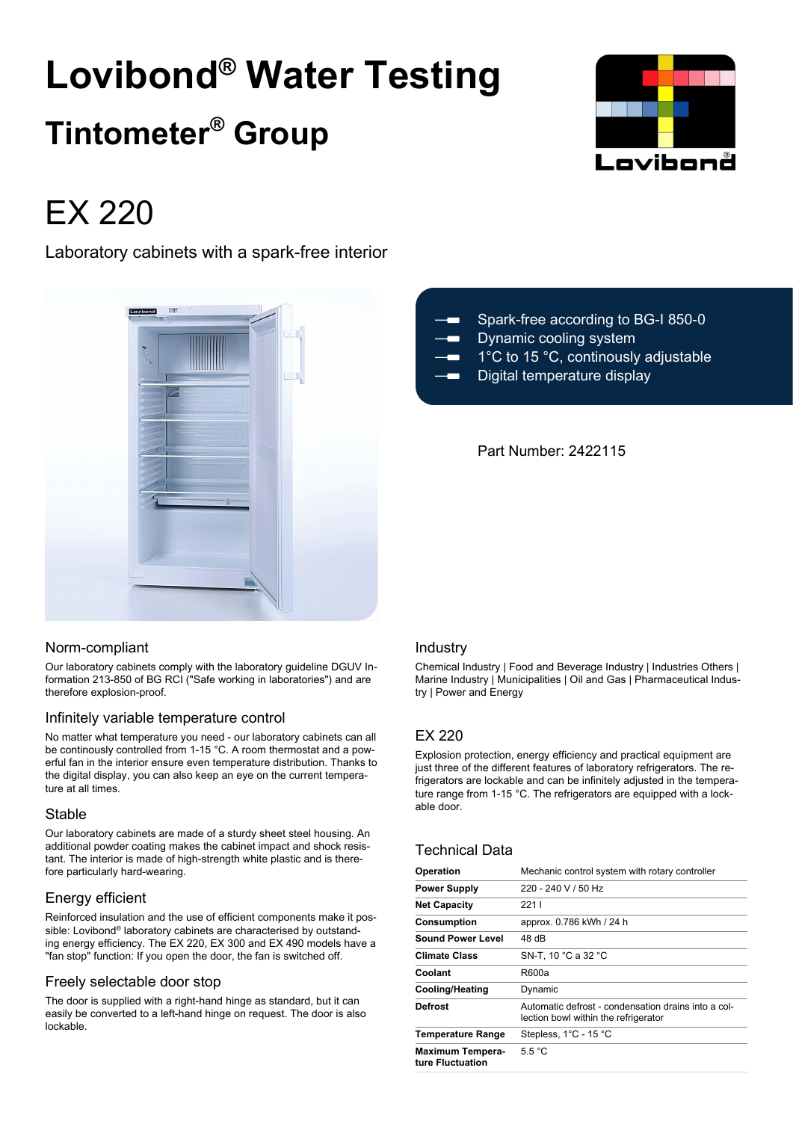# **Lovibond® Water Testing Tintometer® Group**



# EX 220

Laboratory cabinets with a spark-free interior



# Spark-free according to BG-I 850-0 Dynamic cooling system  $\blacksquare$  1°C to 15 °C, continously adjustable

Digital temperature display

# Part Number: 2422115

#### Norm-compliant

Our laboratory cabinets comply with the laboratory guideline DGUV Information 213-850 of BG RCI ("Safe working in laboratories") and are therefore explosion-proof.

# Infinitely variable temperature control

No matter what temperature you need - our laboratory cabinets can all be continously controlled from 1-15 °C. A room thermostat and a powerful fan in the interior ensure even temperature distribution. Thanks to the digital display, you can also keep an eye on the current temperature at all times.

#### Stable

Our laboratory cabinets are made of a sturdy sheet steel housing. An additional powder coating makes the cabinet impact and shock resistant. The interior is made of high-strength white plastic and is therefore particularly hard-wearing.

# Energy efficient

Reinforced insulation and the use of efficient components make it possible: Lovibond® laboratory cabinets are characterised by outstanding energy efficiency. The EX 220, EX 300 and EX 490 models have a "fan stop" function: If you open the door, the fan is switched off.

# Freely selectable door stop

The door is supplied with a right-hand hinge as standard, but it can easily be converted to a left-hand hinge on request. The door is also lockable.

#### Industry

Chemical Industry | Food and Beverage Industry | Industries Others | Marine Industry | Municipalities | Oil and Gas | Pharmaceutical Industry | Power and Energy

# EX 220

Explosion protection, energy efficiency and practical equipment are just three of the different features of laboratory refrigerators. The refrigerators are lockable and can be infinitely adjusted in the temperature range from 1-15 °C. The refrigerators are equipped with a lockable door.

# Technical Data

| <b>Operation</b>                            | Mechanic control system with rotary controller                                              |  |  |
|---------------------------------------------|---------------------------------------------------------------------------------------------|--|--|
| <b>Power Supply</b>                         | 220 - 240 V / 50 Hz                                                                         |  |  |
| <b>Net Capacity</b>                         | 2211                                                                                        |  |  |
| <b>Consumption</b>                          | approx. 0.786 kWh / 24 h                                                                    |  |  |
| <b>Sound Power Level</b>                    | 48 dB                                                                                       |  |  |
| <b>Climate Class</b>                        | SN-T, 10 °C a 32 °C                                                                         |  |  |
| Coolant                                     | R600a                                                                                       |  |  |
| <b>Cooling/Heating</b>                      | Dynamic                                                                                     |  |  |
| Defrost                                     | Automatic defrost - condensation drains into a col-<br>lection bowl within the refrigerator |  |  |
| <b>Temperature Range</b>                    | Stepless, 1°C - 15 °C                                                                       |  |  |
| <b>Maximum Tempera-</b><br>ture Fluctuation | 5.5 °C                                                                                      |  |  |